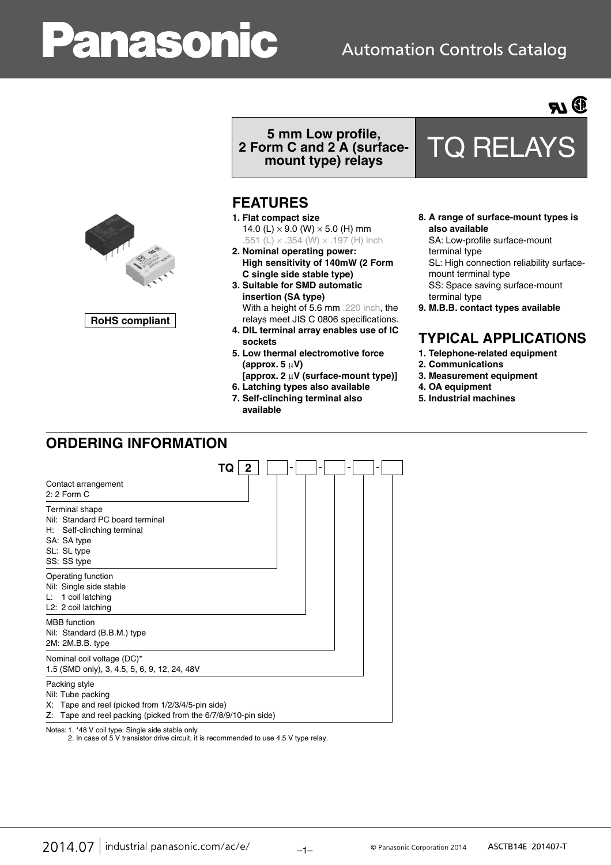# anasonic

# **Automation Controls Catalog**





**RoHS compliant**

# **5 mm Low profile, 2 Form C and 2 A (surface-**

# **FEATURES**

- **1. Flat compact size** 14.0 (L)  $\times$  9.0 (W)  $\times$  5.0 (H) mm .551 (L)  $\times$  .354 (W)  $\times$  .197 (H) inch
- **2. Nominal operating power: High sensitivity of 140mW (2 Form C single side stable type)**
- **3. Suitable for SMD automatic insertion (SA type)** With a height of 5.6 mm .220 inch, the relays meet JIS C 0806 specifications.
- **4. DIL terminal array enables use of IC sockets**
- **5. Low thermal electromotive force (approx. 5** μ**V)**
- **[approx. 2** μ**V (surface-mount type)]**
- **6. Latching types also available 7. Self-clinching terminal also**
- **available**

# **mount type) relays** TQ RELAYS

- **8. A range of surface-mount types is also available** SA: Low-profile surface-mount
- 
- terminal type SL: High connection reliability surfacemount terminal type SS: Space saving surface-mount
- terminal type **9. M.B.B. contact types available**

# **TYPICAL APPLICATIONS**

- **1. Telephone-related equipment**
- **2. Communications**
- **3. Measurement equipment**
- **4. OA equipment**
- **5. Industrial machines**

# **ORDERING INFORMATION**

|                                                                                                                                                           | TQ<br>2 |  |  |
|-----------------------------------------------------------------------------------------------------------------------------------------------------------|---------|--|--|
| Contact arrangement<br>$2:2$ Form C                                                                                                                       |         |  |  |
| Terminal shape<br>Nil: Standard PC board terminal<br>Self-clinching terminal<br>H: I<br>SA: SA type<br>SL: SL type<br>SS: SS type                         |         |  |  |
| Operating function<br>Nil: Single side stable<br>1 coil latching<br>L: I<br>L2: 2 coil latching                                                           |         |  |  |
| <b>MBB</b> function<br>Nil: Standard (B.B.M.) type<br>2M: 2M.B.B. type                                                                                    |         |  |  |
| Nominal coil voltage (DC)*<br>1.5 (SMD only), 3, 4.5, 5, 6, 9, 12, 24, 48V                                                                                |         |  |  |
| Packing style<br>Nil: Tube packing<br>X: Tape and reel (picked from 1/2/3/4/5-pin side)<br>Z: Tape and reel packing (picked from the 6/7/8/9/10-pin side) |         |  |  |

Notes: 1. \*48 V coil type: Single side stable only

2. In case of 5 V transistor drive circuit, it is recommended to use 4.5 V type relay.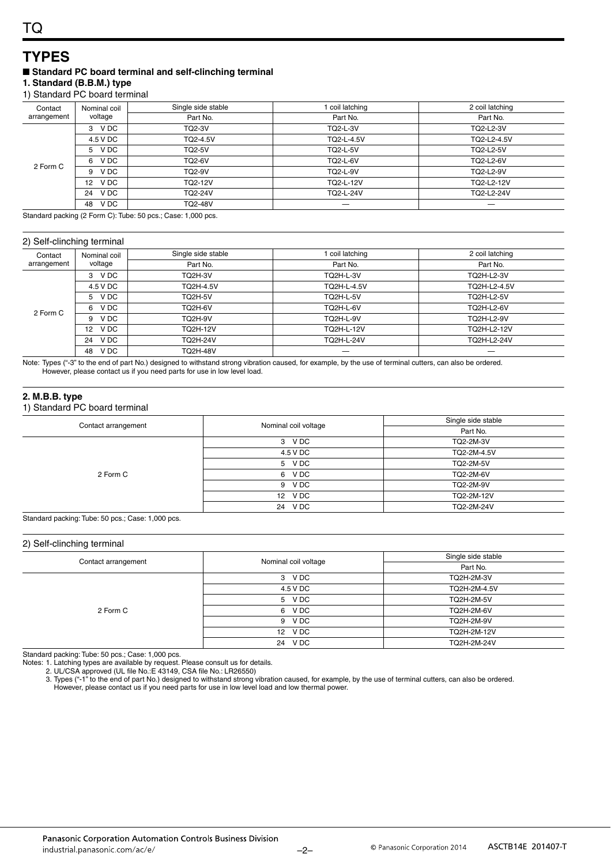### **TYPES** ■ Standard PC board terminal and self-clinching terminal

#### **1. Standard (B.B.M.) type** 1) Standard PC board terminal

| Contact     | Nominal coil | Single side stable | coil latching   | 2 coil latching |
|-------------|--------------|--------------------|-----------------|-----------------|
| arrangement | voltage      | Part No.           | Part No.        | Part No.        |
|             | 3 VDC        | <b>TQ2-3V</b>      | <b>TQ2-L-3V</b> | TQ2-L2-3V       |
|             | 4.5 V DC     | TQ2-4.5V           | TQ2-L-4.5V      | TQ2-L2-4.5V     |
|             | 5 VDC        | <b>TQ2-5V</b>      | <b>TQ2-L-5V</b> | TQ2-L2-5V       |
| 2 Form C    | V DC<br>6    | <b>TQ2-6V</b>      | <b>TQ2-L-6V</b> | TQ2-L2-6V       |
|             | V DC<br>9    | <b>TQ2-9V</b>      | <b>TQ2-L-9V</b> | TQ2-L2-9V       |
|             | V DC<br>12   | TQ2-12V            | TQ2-L-12V       | TO2-L2-12V      |
|             | V DC<br>24   | TQ2-24V            | TQ2-L-24V       | TQ2-L2-24V      |
|             | V DC<br>48   | <b>TQ2-48V</b>     |                 |                 |

Standard packing (2 Form C): Tube: 50 pcs.; Case: 1,000 pcs.

#### 2) Self-clinching terminal

| Contact     | Nominal coil            | Single side stable | coil latching     | 2 coil latching   |
|-------------|-------------------------|--------------------|-------------------|-------------------|
| arrangement | voltage                 | Part No.           | Part No.          | Part No.          |
|             | V DC<br>3               | <b>TQ2H-3V</b>     | <b>TQ2H-L-3V</b>  | <b>TQ2H-L2-3V</b> |
|             | 4.5 V DC                | TQ2H-4.5V          | TQ2H-L-4.5V       | TQ2H-L2-4.5V      |
|             | 5 VDC                   | <b>TQ2H-5V</b>     | <b>TQ2H-L-5V</b>  | <b>TQ2H-L2-5V</b> |
| 2 Form C    | V DC<br>6               | TQ2H-6V            | <b>TQ2H-L-6V</b>  | <b>TQ2H-L2-6V</b> |
|             | V DC<br>9               | <b>TQ2H-9V</b>     | <b>TQ2H-L-9V</b>  | <b>TQ2H-L2-9V</b> |
|             | V DC<br>12 <sup>2</sup> | TQ2H-12V           | <b>TQ2H-L-12V</b> | TQ2H-L2-12V       |
|             | V DC<br>24              | TQ2H-24V           | TQ2H-L-24V        | TQ2H-L2-24V       |
|             | V DC<br>48              | <b>TQ2H-48V</b>    |                   |                   |

Note: Types ("-3" to the end of part No.) designed to withstand strong vibration caused, for example, by the use of terminal cutters, can also be ordered. However, please contact us if you need parts for use in low level load.

#### **2. M.B.B. type**

#### 1) Standard PC board terminal

| Contact arrangement | Nominal coil voltage | Single side stable |
|---------------------|----------------------|--------------------|
|                     |                      | Part No.           |
|                     | 3 VDC                | TQ2-2M-3V          |
|                     | 4.5 V DC             | TQ2-2M-4.5V        |
|                     | 5 VDC                | TQ2-2M-5V          |
| 2 Form C            | 6 VDC                | TQ2-2M-6V          |
|                     | 9 VDC                | TQ2-2M-9V          |
|                     | 12 VDC               | TQ2-2M-12V         |
|                     | 24 VDC               | TQ2-2M-24V         |
|                     |                      |                    |

Standard packing: Tube: 50 pcs.; Case: 1,000 pcs.

#### 2) Self-clinching terminal

|                     |                      | Single side stable |
|---------------------|----------------------|--------------------|
| Contact arrangement | Nominal coil voltage | Part No.           |
|                     | 3 VDC                | TQ2H-2M-3V         |
|                     | 4.5 V DC             | TQ2H-2M-4.5V       |
|                     | 5 VDC                | TQ2H-2M-5V         |
| 2 Form C            | 6 VDC                | TQ2H-2M-6V         |
|                     | 9 VDC                | TQ2H-2M-9V         |
|                     | 12 VDC               | TQ2H-2M-12V        |
|                     | 24 VDC               | TQ2H-2M-24V        |

Standard packing: Tube: 50 pcs.; Case: 1,000 pcs.

Notes: 1. Latching types are available by request. Please consult us for details.

2. UL/CSA approved (UL file No.:E 43149, CSA file No.: LR26550)

3. Types ("-1" to the end of part No.) designed to withstand strong vibration caused, for example, by the use of terminal cutters, can also be ordered. However, please contact us if you need parts for use in low level load and low thermal power.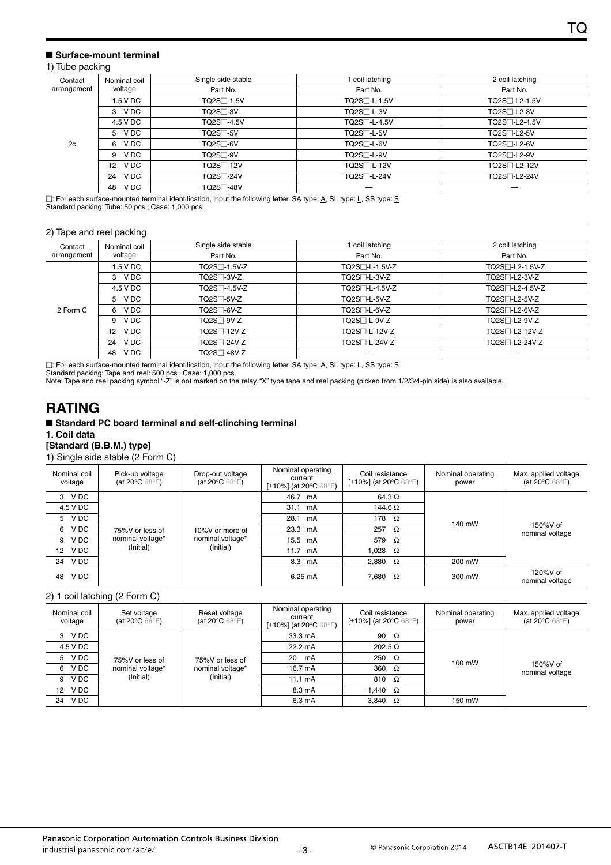#### ■ Surface-mount terminal

#### 1) Tube packing

| Nominal coil<br>Contact |                          | Single side stable     | coil latching             | 2 coil latching                         |
|-------------------------|--------------------------|------------------------|---------------------------|-----------------------------------------|
| arrangement             | voltage                  | Part No.               | Part No.                  | Part No.                                |
|                         | 1.5 V DC                 | TQ2S□-1.5V             | TQ2S <sup>-L-1.5V</sup>   | TQ2S <sub>1</sub> -L <sub>2</sub> -1.5V |
|                         | 3 VDC                    | TO2S <sub>1</sub> 3V   | TQ2S <sup>-L-3V</sup>     | TQ2S <sub>1</sub> -L <sub>2</sub> -3V   |
|                         | 4.5 V DC                 | TQ2S□-4.5V             | TQ2S <sub>1</sub> -L-4.5V | TQ2S <sub>1</sub> -L <sub>2</sub> -4.5V |
|                         | 5 VDC                    | $TO2S1-5V$             | TQ2S <sub>T</sub> -L-5V   | TQ2S <sub>1</sub> -L <sub>2</sub> -5V   |
| 2c                      | V DC<br>6                | TQ2S <sub>1</sub> -6V  | TQ2S <sub>T</sub> -L-6V   | TQ2S <sup>-L2-6V</sup>                  |
|                         | V DC<br>9                | TQ2S <sub>1</sub> -9V  | TQ2S <sub>T</sub> -L-9V   | TQ2S <sup>-L2-9V</sup>                  |
|                         | V DC<br>12 <sup>12</sup> | TQ2S <sub>1</sub> -12V | TQ2S□-L-12V               | TQ2S <sup>-L2-12V</sup>                 |
|                         | V DC<br>24               | TQ2S <sub>7</sub> -24V | TQ2S <sup>-L-24V</sup>    | TQ2S <sup>-1</sup> -L2-24V              |
|                         | V DC<br>48               | TQ2S <sup>-48V</sup>   |                           |                                         |

□: For each surface-mounted terminal identification, input the following letter. SA type: <u>A</u>, SL type: <u>L,</u> SS type: <u>S</u> Standard packing: Tube: 50 pcs.; Case: 1,000 pcs.

#### 2) Tape and reel packing

|                        | $\tilde{\phantom{a}}$     |                          |                             |                                           |
|------------------------|---------------------------|--------------------------|-----------------------------|-------------------------------------------|
| Contact<br>arrangement | Nominal coil              | Single side stable       | coil latching               | 2 coil latching                           |
|                        | voltage                   | Part No.                 | Part No.                    | Part No.                                  |
|                        | 1.5 V DC                  | TQ2S <sup>-1.5V-Z</sup>  | TQ2S <sub>1</sub> -L-1.5V-Z | TQ2S <sub>1</sub> -L <sub>2</sub> -1.5V-Z |
|                        | 3 VDC                     | TQ2S□-3V-Z               | TQ2S□-L-3V-Z                | TQ2S <sup>-L2-3V-Z</sup>                  |
|                        | 4.5 V DC                  | TQ2S <sub>14.5</sub> V-Z | TQ2S <sup>-L-4.5V-Z</sup>   | TQ2S <sup>-L2-4.5V-Z</sup>                |
|                        | 5 VDC                     | TQ2S□-5V-Z               | TQ2S <sub>1</sub> -L-5V-Z   | TQ2S <sub>1</sub> -L <sub>2</sub> -5V-Z   |
| 2 Form C               | V DC<br>6                 | TQ2S□-6V-Z               | TQ2S <sub>1</sub> -L-6V-Z   | TQ2S <sup>-1</sup> -L2-6V-Z               |
|                        | V DC<br>9                 | TQ2S□-9V-Z               | TQ2S <sub>1</sub> -L-9V-Z   | TQ2S <sub>7</sub> -L2-9V-Z                |
|                        | V DC<br>$12 \overline{ }$ | TQ2S <sub>1</sub> -12V-Z | TQ2S <sub>1</sub> -L-12V-Z  | TQ2S <sub>1</sub> -L <sub>2</sub> -12V-Z  |
|                        | V DC<br>24                | TQ2S□-24V-Z              | TQ2S <sub>1</sub> -L-24V-Z  | TQ2S <sup>-1</sup> -L2-24V-Z              |
|                        | V DC<br>48                | TQ2S□-48V-Z              |                             |                                           |
|                        |                           |                          |                             |                                           |

□: For each surface-mounted terminal identification, input the following letter. SA type: <u>A</u>, SL type: <u>L,</u> SS type: <u>S</u>

Standard packing: Tape and reel: 500 pcs.; Case: 1,000 pcs.

Note: Tape and reel packing symbol "-Z" is not marked on the relay. "X" type tape and reel packing (picked from 1/2/3/4-pin side) is also available.

### **RATING**

#### ■ Standard PC board terminal and self-clinching terminal **1. Coil data [Standard (B.B.M.) type]**

1) Single side stable (2 Form C)

| Nominal coil<br>voltage | Pick-up voltage<br>(at 20 $\mathrm{^{\circ}C}$ 68 $\mathrm{^{\circ}F}$ ) | Drop-out voltage<br>(at 20 $\mathrm{^{\circ}C}$ 68 $\mathrm{^{\circ}F}$ ) | Nominal operating<br>current<br>[±10%] (at 20°C 68°F) | Coil resistance<br>[ $\pm$ 10%] (at 20°C 68°F) | Nominal operating<br>power | Max. applied voltage<br>(at 20 $\degree$ C 68 $\degree$ F) |  |
|-------------------------|--------------------------------------------------------------------------|---------------------------------------------------------------------------|-------------------------------------------------------|------------------------------------------------|----------------------------|------------------------------------------------------------|--|
| V DC<br>3               |                                                                          |                                                                           | 46.7 mA                                               | 64.3 $\Omega$                                  |                            |                                                            |  |
| 4.5 V DC                |                                                                          |                                                                           | 31.1 mA                                               | 144.6 $\Omega$                                 | 140 mW                     | 150%V of<br>nominal voltage                                |  |
| 5 VDC                   |                                                                          |                                                                           | 28.1 mA                                               | 178<br>$\Omega$                                |                            |                                                            |  |
| V DC<br>6               | 75%V or less of                                                          | 10%V or more of                                                           | 23.3 mA                                               | 257<br>$\Omega$                                |                            |                                                            |  |
| V DC<br>9               | nominal voltage*                                                         | nominal voltage*                                                          | 15.5 mA                                               | 579<br>$\Omega$                                |                            |                                                            |  |
| V DC<br>12              |                                                                          | (Initial)<br>(Initial)                                                    |                                                       | 11.7 mA                                        | 1,028 $\Omega$             |                                                            |  |
| V DC<br>24              |                                                                          |                                                                           | 8.3 mA                                                | 2,880 $\Omega$                                 | 200 mW                     |                                                            |  |
| V DC<br>48              |                                                                          |                                                                           | 6.25 mA                                               | 7,680<br>$\Omega$                              | 300 mW                     | 120%V of<br>nominal voltage                                |  |

#### 2) 1 coil latching (2 Form C)

| Nominal coil<br>voltage | Set voltage<br>(at 20 $\mathrm{^{\circ}C}$ 68 $\mathrm{^{\circ}F}$ ) | Reset voltage<br>(at 20 $\mathrm{^{\circ}C}$ 68 $\mathrm{^{\circ}F}$ ) | Nominal operating<br>current<br>[ $\pm$ 10%] (at 20 $\degree$ C 68 $\degree$ F) | Coil resistance<br>[±10%] (at 20°C 68°F) |        | Max. applied voltage<br>(at 20 $\mathrm{^{\circ}C}$ 68 $\mathrm{^{\circ}F}$ ) |
|-------------------------|----------------------------------------------------------------------|------------------------------------------------------------------------|---------------------------------------------------------------------------------|------------------------------------------|--------|-------------------------------------------------------------------------------|
| V DC<br>3               |                                                                      |                                                                        | 33.3 mA                                                                         | 90<br>$\Omega$                           |        | $150\%$ V of<br>nominal voltage                                               |
| 4.5 V DC                |                                                                      |                                                                        | 22.2 mA                                                                         | $202.5 \Omega$                           | 100 mW |                                                                               |
| V DC<br>5.              | 75%V or less of                                                      | 75%V or less of                                                        | 20 mA                                                                           | 250<br>$\Omega$                          |        |                                                                               |
| V DC<br>6               | nominal voltage*                                                     | nominal voltage*                                                       | 16.7 mA                                                                         | 360<br>$\Omega$                          |        |                                                                               |
| V DC<br>9               | (Initial)                                                            | (Initial)                                                              | 11.1 $mA$                                                                       | 810<br>$\Omega$                          |        |                                                                               |
| 12 VDC                  |                                                                      | 8.3 mA                                                                 | 1,440 $\Omega$                                                                  |                                          |        |                                                                               |
| V DC<br>24              |                                                                      |                                                                        | 6.3 mA                                                                          | 3.840<br>$\Omega$                        | 150 mW |                                                                               |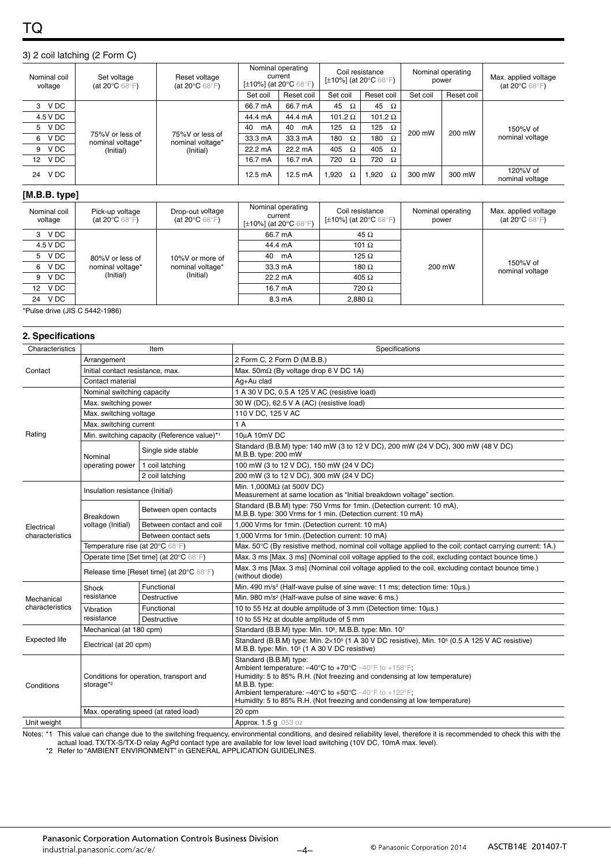#### 3) 2 coil latching (2 Form C)

| Nominal coil<br>voltage | Set voltage<br>Reset voltage<br>(at 20 $\mathrm{^{\circ}C}$ 68 $\mathrm{^{\circ}F}$ )<br>(at 20 $\mathrm{^{\circ}C}$ 68 $\mathrm{^{\circ}F}$ ) |                                     | Nominal operating<br>current<br>[ $\pm$ 10%] (at 20 $\degree$ C 68 $\degree$ F) |            | Coil resistance<br>[ $\pm$ 10%] (at 20 $^{\circ}$ C 68 $^{\circ}$ F) |                 | Nominal operating<br>power |            | Max. applied voltage<br>(at 20 $\mathrm{^{\circ}C}$ 68 $\mathrm{^{\circ}F}$ ) |
|-------------------------|------------------------------------------------------------------------------------------------------------------------------------------------|-------------------------------------|---------------------------------------------------------------------------------|------------|----------------------------------------------------------------------|-----------------|----------------------------|------------|-------------------------------------------------------------------------------|
|                         |                                                                                                                                                |                                     | Set coil                                                                        | Reset coil | Set coil                                                             | Reset coil      | Set coil                   | Reset coil |                                                                               |
| V DC<br>3               |                                                                                                                                                |                                     | 66.7 mA                                                                         | 66.7 mA    | 45<br>Ω                                                              | 45<br>$\Omega$  |                            | 200 mW     | 150%V of<br>nominal voltage                                                   |
| 4.5 V DC                |                                                                                                                                                |                                     | 44.4 mA                                                                         | 44.4 mA    | 101.2 $\Omega$                                                       | 101.2 $\Omega$  | 200 mW                     |            |                                                                               |
| V DC<br>5               |                                                                                                                                                |                                     | 40<br>mA                                                                        | 40<br>mA   | 125<br>Ω                                                             | 125<br>$\Omega$ |                            |            |                                                                               |
| V DC<br>6               | 75%V or less of<br>nominal voltage*                                                                                                            | 75%V or less of<br>nominal voltage* | 33.3 mA                                                                         | 33.3 mA    | 180<br>Ω                                                             | 180<br>$\Omega$ |                            |            |                                                                               |
| V DC<br>9               | (Initial)                                                                                                                                      | (Initial)                           | 22.2 mA                                                                         | 22.2 mA    | 405<br>$\Omega$                                                      | 405<br>Ω        |                            |            |                                                                               |
| V DC<br>12 <sup>2</sup> |                                                                                                                                                |                                     | 16.7 mA                                                                         | 16.7 mA    | 720<br>Ω                                                             | 720<br>Ω        |                            |            |                                                                               |
| V DC<br>24              |                                                                                                                                                |                                     | $12.5 \text{ mA}$                                                               | 12.5 mA    | 1.920<br>Ω                                                           | .920<br>Ω       | 300 mW                     | 300 mW     | 120%V of<br>nominal voltage                                                   |

#### **[M.B.B. type]**

| Nominal coil<br>voltage | Pick-up voltage<br>(at 20 $\degree$ C 68 $\degree$ F) | Drop-out voltage<br>(at 20 $\mathrm{^{\circ}C}$ 68 $\mathrm{^{\circ}F}$ ) | Nominal operating<br>current<br>[±10%] (at 20°C 68°F) | Coil resistance<br>[ $\pm$ 10%] (at 20 $^{\circ}$ C 68 $^{\circ}$ F) | Nominal operating<br>power | Max. applied voltage<br>(at 20 $\mathrm{^{\circ}C}$ 68 $\mathrm{^{\circ}F}$ ) |
|-------------------------|-------------------------------------------------------|---------------------------------------------------------------------------|-------------------------------------------------------|----------------------------------------------------------------------|----------------------------|-------------------------------------------------------------------------------|
| 3 VDC                   |                                                       |                                                                           | 66.7 mA                                               | 45 $\Omega$                                                          |                            |                                                                               |
| 4.5 V DC                |                                                       |                                                                           | 44.4 mA                                               | 101 $\Omega$                                                         | 200 mW                     | 150%V of<br>nominal voltage                                                   |
| 5 VDC                   | 80%V or less of                                       | 10%V or more of                                                           | mA<br>40                                              | 125 $\Omega$                                                         |                            |                                                                               |
| V DC<br>6               | nominal voltage*                                      | nominal voltage*                                                          | 33.3 mA                                               | 180 $\Omega$                                                         |                            |                                                                               |
| V DC<br>9               | (Initial)                                             | (Initial)                                                                 | 22.2 mA                                               | 405 $\Omega$                                                         |                            |                                                                               |
| 12 VDC                  |                                                       |                                                                           | 16.7 mA                                               | $720 \Omega$                                                         |                            |                                                                               |
| V DC<br>24              |                                                       |                                                                           | 8.3 mA                                                | $2.880\ \Omega$                                                      |                            |                                                                               |

\*Pulse drive (JIS C 5442-1986)

| 2. Specifications             |                                                      |                                             |                                                                                                                                                                                                                                                                                                                                                                                                |  |  |  |
|-------------------------------|------------------------------------------------------|---------------------------------------------|------------------------------------------------------------------------------------------------------------------------------------------------------------------------------------------------------------------------------------------------------------------------------------------------------------------------------------------------------------------------------------------------|--|--|--|
| Characteristics               |                                                      | Item                                        | Specifications                                                                                                                                                                                                                                                                                                                                                                                 |  |  |  |
|                               | Arrangement                                          |                                             | 2 Form C. 2 Form D (M.B.B.)                                                                                                                                                                                                                                                                                                                                                                    |  |  |  |
| Contact                       | Initial contact resistance, max.                     |                                             | Max. $50 \text{m}\Omega$ (By voltage drop 6 V DC 1A)                                                                                                                                                                                                                                                                                                                                           |  |  |  |
|                               | Contact material                                     |                                             | Ag+Au clad                                                                                                                                                                                                                                                                                                                                                                                     |  |  |  |
|                               | Nominal switching capacity                           |                                             | 1 A 30 V DC, 0.5 A 125 V AC (resistive load)                                                                                                                                                                                                                                                                                                                                                   |  |  |  |
|                               | Max. switching power                                 |                                             | 30 W (DC), 62.5 V A (AC) (resistive load)                                                                                                                                                                                                                                                                                                                                                      |  |  |  |
|                               | Max. switching voltage                               |                                             | 110 V DC, 125 V AC                                                                                                                                                                                                                                                                                                                                                                             |  |  |  |
|                               | Max. switching current                               |                                             | 1A                                                                                                                                                                                                                                                                                                                                                                                             |  |  |  |
| Rating                        |                                                      | Min. switching capacity (Reference value)*1 | 10µA 10mV DC                                                                                                                                                                                                                                                                                                                                                                                   |  |  |  |
|                               | Nominal                                              | Single side stable                          | Standard (B.B.M) type: 140 mW (3 to 12 V DC), 200 mW (24 V DC), 300 mW (48 V DC)<br>M.B.B. type: 200 mW                                                                                                                                                                                                                                                                                        |  |  |  |
|                               | operating power                                      | 1 coil latching                             | 100 mW (3 to 12 V DC), 150 mW (24 V DC)                                                                                                                                                                                                                                                                                                                                                        |  |  |  |
|                               |                                                      | 2 coil latching                             | 200 mW (3 to 12 V DC), 300 mW (24 V DC)                                                                                                                                                                                                                                                                                                                                                        |  |  |  |
| Electrical<br>characteristics | Insulation resistance (Initial)                      |                                             | Min. 1,000M $\Omega$ (at 500V DC)<br>Measurement at same location as "Initial breakdown voltage" section.                                                                                                                                                                                                                                                                                      |  |  |  |
|                               | Breakdown<br>voltage (Initial)                       | Between open contacts                       | Standard (B.B.M) type: 750 Vrms for 1min. (Detection current: 10 mA),<br>M.B.B. type: 300 Vrms for 1 min. (Detection current: 10 mA)                                                                                                                                                                                                                                                           |  |  |  |
|                               |                                                      | Between contact and coil                    | 1,000 Vrms for 1min. (Detection current: 10 mA)                                                                                                                                                                                                                                                                                                                                                |  |  |  |
|                               |                                                      | Between contact sets                        | 1,000 Vrms for 1min. (Detection current: 10 mA)                                                                                                                                                                                                                                                                                                                                                |  |  |  |
|                               | Temperature rise (at 20°C 68°F)                      |                                             | Max. 50°C (By resistive method, nominal coil voltage applied to the coil; contact carrying current: 1A.)                                                                                                                                                                                                                                                                                       |  |  |  |
|                               |                                                      | Operate time [Set time] (at 20°C 68°F)      | Max. 3 ms [Max. 3 ms] (Nominal coil voltage applied to the coil, excluding contact bounce time.)                                                                                                                                                                                                                                                                                               |  |  |  |
|                               | Release time [Reset time] (at 20°C 68°F)             |                                             | Max. 3 ms [Max. 3 ms] (Nominal coil voltage applied to the coil, excluding contact bounce time.)<br>(without diode)                                                                                                                                                                                                                                                                            |  |  |  |
|                               | Shock                                                | Functional                                  | Min. 490 m/s <sup>2</sup> (Half-wave pulse of sine wave: 11 ms; detection time: 10us.)                                                                                                                                                                                                                                                                                                         |  |  |  |
| Mechanical                    | resistance                                           | Destructive                                 | Min. 980 m/s <sup>2</sup> (Half-wave pulse of sine wave: 6 ms.)                                                                                                                                                                                                                                                                                                                                |  |  |  |
| characteristics               | Vibration                                            | Functional                                  | 10 to 55 Hz at double amplitude of 3 mm (Detection time: 10us.)                                                                                                                                                                                                                                                                                                                                |  |  |  |
|                               | resistance                                           | <b>Destructive</b>                          | 10 to 55 Hz at double amplitude of 5 mm                                                                                                                                                                                                                                                                                                                                                        |  |  |  |
|                               | Mechanical (at 180 cpm)                              |                                             | Standard (B.B.M) type: Min. 10 <sup>8</sup> , M.B.B. type: Min. 10 <sup>7</sup>                                                                                                                                                                                                                                                                                                                |  |  |  |
| <b>Expected life</b>          | Electrical (at 20 cpm)                               |                                             | Standard (B.B.M) type: Min. 2×10 <sup>5</sup> (1 A 30 V DC resistive), Min. 10 <sup>5</sup> (0.5 A 125 V AC resistive)<br>M.B.B. type: Min. 10 <sup>5</sup> (1 A 30 V DC resistive)                                                                                                                                                                                                            |  |  |  |
| Conditions                    | Conditions for operation, transport and<br>storage*2 |                                             | Standard (B.B.M) type:<br>Ambient temperature: $-40^{\circ}$ C to $+70^{\circ}$ C $-40^{\circ}$ F to $+158^{\circ}$ F;<br>Humidity: 5 to 85% R.H. (Not freezing and condensing at low temperature)<br>M.B.B. type:<br>Ambient temperature: $-40^{\circ}$ C to $+50^{\circ}$ C $-40^{\circ}$ F to $+122^{\circ}$ F;<br>Humidity: 5 to 85% R.H. (Not freezing and condensing at low temperature) |  |  |  |
|                               |                                                      | Max. operating speed (at rated load)        | 20 cpm                                                                                                                                                                                                                                                                                                                                                                                         |  |  |  |
| Unit weight                   |                                                      |                                             | Approx. 1.5 g.053 oz                                                                                                                                                                                                                                                                                                                                                                           |  |  |  |

Notes: \*1 This value can change due to the switching frequency, environmental conditions, and desired reliability level, therefore it is recommended to check this with the

actual load. TX/TX-S/TX-D relay AgPd contact type are available for low level load switching (10V DC, 10mA max. level). \*2 Refer to "AMBIENT ENVIRONMENT" in GENERAL APPLICATION GUIDELINES.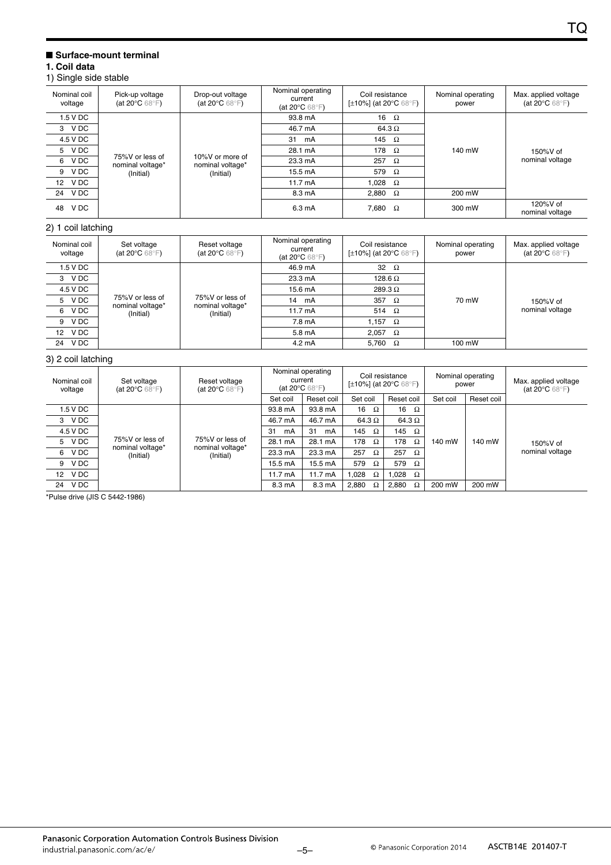#### ■ **Surface-mount terminal**

#### **1. Coil data**

#### 1) Single side stable

| Nominal coil<br>voltage | Pick-up voltage<br>(at 20 $\mathrm{^{\circ}C}$ 68 $\mathrm{^{\circ}F}$ ) | Drop-out voltage<br>(at 20 $\mathrm{^{\circ}C}$ 68 $\mathrm{^{\circ}F}$ ) | Nominal operating<br>current<br>(at 20 $\mathrm{^{\circ}C}$ 68 $\mathrm{^{\circ}F}$ ) | Coil resistance<br>[ $\pm$ 10%] (at 20 $^{\circ}$ C 68 $^{\circ}$ F) | Nominal operating<br>power | Max. applied voltage<br>(at 20 $\mathrm{^{\circ}C}$ 68 $\mathrm{^{\circ}F}$ ) |
|-------------------------|--------------------------------------------------------------------------|---------------------------------------------------------------------------|---------------------------------------------------------------------------------------|----------------------------------------------------------------------|----------------------------|-------------------------------------------------------------------------------|
| 1.5 V DC                |                                                                          |                                                                           | 93.8 mA                                                                               | 16 $\Omega$                                                          |                            |                                                                               |
| 3 VDC                   |                                                                          | 10%V or more of<br>nominal voltage*<br>(Initial)                          | 46.7 mA                                                                               | 64.3 $\Omega$                                                        |                            | 150%V of<br>nominal voltage                                                   |
| 4.5 V DC                |                                                                          |                                                                           | 31 mA                                                                                 | 145 $\Omega$                                                         |                            |                                                                               |
| 5 VDC                   |                                                                          |                                                                           | 28.1 mA                                                                               | 178<br>$\Omega$                                                      | 140 mW                     |                                                                               |
| 6 VDC                   | 75%V or less of<br>nominal voltage*                                      |                                                                           | 23.3 mA                                                                               | 257<br>$\Omega$                                                      |                            |                                                                               |
| V DC<br>9               | (Initial)                                                                |                                                                           | 15.5 mA                                                                               | 579<br>$\Omega$                                                      |                            |                                                                               |
| 12 VDC                  |                                                                          |                                                                           | $11.7 \text{ mA}$                                                                     | 1,028 $\Omega$                                                       |                            |                                                                               |
| V DC<br>24              |                                                                          | 8.3 mA                                                                    | 2.880 $\Omega$                                                                        | 200 mW                                                               |                            |                                                                               |
| V DC<br>48              |                                                                          |                                                                           | 6.3 mA                                                                                | 7,680 $\Omega$                                                       | 300 mW                     | 120%V of<br>nominal voltage                                                   |
| 2) 1 coil latching      |                                                                          |                                                                           |                                                                                       |                                                                      |                            |                                                                               |
|                         |                                                                          |                                                                           | Nominal operating                                                                     |                                                                      |                            |                                                                               |

| Nominal coil<br>voltage | Set voltage<br>(at 20 $\degree$ C 68 $\degree$ F) | Reset voltage<br>(at 20 $\mathrm{^{\circ}C}$ 68 $\mathrm{^{\circ}F}$ ) | Nominal operating<br>current<br>(at 20 $\degree$ C 68 $\degree$ F) | Coil resistance<br>[±10%] (at 20°C 68°F) | Nominal operating<br>power | Max. applied voltage<br>(at 20 $\mathrm{^{\circ}C}$ 68 $\mathrm{^{\circ}F}$ ) |
|-------------------------|---------------------------------------------------|------------------------------------------------------------------------|--------------------------------------------------------------------|------------------------------------------|----------------------------|-------------------------------------------------------------------------------|
| 1.5 V DC                |                                                   | 75%V or less of<br>nominal voltage*<br>nominal voltage*<br>(Initial)   | 46.9 mA                                                            | 32 $\Omega$                              |                            | 150%V of<br>nominal voltage                                                   |
| V DC<br>3               |                                                   |                                                                        | 23.3 mA                                                            | 128.6 $\Omega$                           |                            |                                                                               |
| 4.5 V DC                |                                                   |                                                                        | 15.6 mA                                                            | 289.3 $\Omega$                           |                            |                                                                               |
| 5 VDC                   | 75%V or less of                                   |                                                                        | 14 mA                                                              | 357 $\Omega$                             | 70 mW                      |                                                                               |
| V DC<br>6               | (Initial)                                         |                                                                        | $11.7 \text{ mA}$                                                  | 514 $\Omega$                             |                            |                                                                               |
| V DC<br>9               |                                                   |                                                                        | 7.8 mA                                                             | 1.157 $\Omega$                           |                            |                                                                               |
| 12 V DC                 |                                                   |                                                                        | 5.8 mA                                                             | 2.057 $\Omega$                           |                            |                                                                               |
| V DC<br>24              |                                                   |                                                                        | 4.2 mA                                                             | 5.760<br>$\Omega$                        | 100 mW                     |                                                                               |

#### 3) 2 coil latching

| Nominal coil<br>voltage | Set voltage<br>(at 20 $\mathrm{^{\circ}C}$ 68 $\mathrm{^{\circ}F}$ )                                                                                        | Reset voltage<br>(at 20 $\mathrm{^{\circ}C}$ 68 $\mathrm{^{\circ}F}$ ) | Nominal operating<br>current<br>(at 20 $\degree$ C 68 $\degree$ F) |            | Coil resistance<br>[ $\pm$ 10%] (at 20°C 68°F) |                   | Nominal operating<br>power |            | Max. applied voltage<br>(at 20 $\mathrm{^{\circ}C}$ 68 $\mathrm{^{\circ}F}$ ) |
|-------------------------|-------------------------------------------------------------------------------------------------------------------------------------------------------------|------------------------------------------------------------------------|--------------------------------------------------------------------|------------|------------------------------------------------|-------------------|----------------------------|------------|-------------------------------------------------------------------------------|
|                         |                                                                                                                                                             |                                                                        | Set coil                                                           | Reset coil | Set coil                                       | Reset coil        | Set coil                   | Reset coil |                                                                               |
| 1.5 V DC                | V DC<br>з<br>4.5 V DC<br>75%V or less of<br>V DC<br>5<br>nominal voltage*<br>V DC<br>6.<br>(Initial)<br>V DC<br>9<br>V DC<br>12 <sup>12</sup><br>V DC<br>24 | 75%V or less of<br>nominal voltage*<br>(Initial)                       | 93.8 mA                                                            | 93.8 mA    | 16<br>Ω                                        | 16<br>Ω           | 140 mW                     | 140 mW     | 150%V of<br>nominal voltage                                                   |
|                         |                                                                                                                                                             |                                                                        | 46.7 mA                                                            | 46.7 mA    | 64.3 $\Omega$                                  | 64.3 $\Omega$     |                            |            |                                                                               |
|                         |                                                                                                                                                             |                                                                        | 31<br>mA                                                           | 31<br>mA   | 145<br>$\Omega$                                | 145 $\Omega$      |                            |            |                                                                               |
|                         |                                                                                                                                                             |                                                                        | 28.1 mA                                                            | 28.1 mA    | 178<br>Ω                                       | 178<br>$\Omega$   |                            |            |                                                                               |
|                         |                                                                                                                                                             |                                                                        | 23.3 mA                                                            | 23.3 mA    | 257<br>Ω                                       | 257<br>Ω          |                            |            |                                                                               |
|                         |                                                                                                                                                             |                                                                        | 15.5 mA                                                            | 15.5 mA    | 579<br>Ω                                       | 579<br>$\Omega$   |                            |            |                                                                               |
|                         |                                                                                                                                                             |                                                                        | $11.7 \text{ mA}$                                                  | 11.7 mA    | 1.028<br>Ω                                     | 1.028<br>$\Omega$ |                            |            |                                                                               |
|                         |                                                                                                                                                             |                                                                        | 8.3 mA                                                             | 8.3 mA     | 2.880<br>Ω                                     | 2.880<br>Ω        | 200 mW                     | 200 mW     |                                                                               |

\*Pulse drive (JIS C 5442-1986)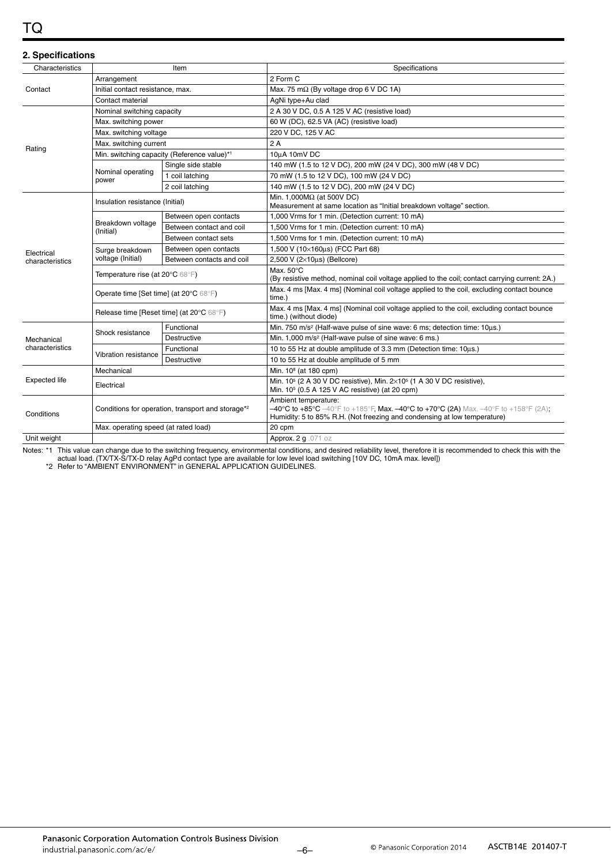# TQ

| 2. Specifications    |                                                   |                                             |                                                                                                                                                                                                                                 |  |  |  |  |
|----------------------|---------------------------------------------------|---------------------------------------------|---------------------------------------------------------------------------------------------------------------------------------------------------------------------------------------------------------------------------------|--|--|--|--|
| Characteristics      | Item                                              |                                             | Specifications                                                                                                                                                                                                                  |  |  |  |  |
| Contact              | Arrangement                                       |                                             | 2 Form C                                                                                                                                                                                                                        |  |  |  |  |
|                      | Initial contact resistance, max.                  |                                             | Max. 75 m $\Omega$ (By voltage drop 6 V DC 1A)                                                                                                                                                                                  |  |  |  |  |
|                      | Contact material                                  |                                             | AgNi type+Au clad                                                                                                                                                                                                               |  |  |  |  |
|                      | Nominal switching capacity                        |                                             | 2 A 30 V DC, 0.5 A 125 V AC (resistive load)                                                                                                                                                                                    |  |  |  |  |
|                      | Max. switching power                              |                                             | 60 W (DC), 62.5 VA (AC) (resistive load)                                                                                                                                                                                        |  |  |  |  |
|                      | Max. switching voltage                            |                                             | 220 V DC, 125 V AC                                                                                                                                                                                                              |  |  |  |  |
|                      | Max. switching current                            |                                             | 2A                                                                                                                                                                                                                              |  |  |  |  |
| Rating               |                                                   | Min. switching capacity (Reference value)*1 | 10µA 10mV DC                                                                                                                                                                                                                    |  |  |  |  |
|                      |                                                   | Single side stable                          | 140 mW (1.5 to 12 V DC), 200 mW (24 V DC), 300 mW (48 V DC)                                                                                                                                                                     |  |  |  |  |
|                      | Nominal operating<br>power                        | 1 coil latching                             | 70 mW (1.5 to 12 V DC), 100 mW (24 V DC)                                                                                                                                                                                        |  |  |  |  |
|                      |                                                   | 2 coil latching                             | 140 mW (1.5 to 12 V DC), 200 mW (24 V DC)                                                                                                                                                                                       |  |  |  |  |
|                      | Insulation resistance (Initial)                   |                                             | Min. 1,000M $\Omega$ (at 500V DC)<br>Measurement at same location as "Initial breakdown voltage" section.                                                                                                                       |  |  |  |  |
|                      | Breakdown voltage<br>(Initial)                    | Between open contacts                       | 1,000 Vrms for 1 min. (Detection current: 10 mA)                                                                                                                                                                                |  |  |  |  |
|                      |                                                   | Between contact and coil                    | 1,500 Vrms for 1 min. (Detection current: 10 mA)                                                                                                                                                                                |  |  |  |  |
|                      |                                                   | Between contact sets                        | 1,500 Vrms for 1 min. (Detection current: 10 mA)                                                                                                                                                                                |  |  |  |  |
| Electrical           | Surge breakdown                                   | Between open contacts                       | 1,500 V (10×160us) (FCC Part 68)                                                                                                                                                                                                |  |  |  |  |
| characteristics      | voltage (Initial)                                 | Between contacts and coil                   | 2,500 V ( $2\times10\mu s$ ) (Bellcore)                                                                                                                                                                                         |  |  |  |  |
|                      | Temperature rise (at 20°C 68°F)                   |                                             | Max. 50°C<br>(By resistive method, nominal coil voltage applied to the coil; contact carrying current: 2A.)                                                                                                                     |  |  |  |  |
|                      | Operate time [Set time] (at 20°C 68°F)            |                                             | Max. 4 ms [Max. 4 ms] (Nominal coil voltage applied to the coil, excluding contact bounce<br>time.)                                                                                                                             |  |  |  |  |
|                      | Release time [Reset time] (at 20°C 68°F)          |                                             | Max. 4 ms [Max. 4 ms] (Nominal coil voltage applied to the coil, excluding contact bounce<br>time.) (without diode)                                                                                                             |  |  |  |  |
|                      |                                                   | Functional                                  | Min. 750 m/s <sup>2</sup> (Half-wave pulse of sine wave: 6 ms; detection time: 10us.)                                                                                                                                           |  |  |  |  |
| Mechanical           | Shock resistance                                  | <b>Destructive</b>                          | Min. 1,000 m/s <sup>2</sup> (Half-wave pulse of sine wave: 6 ms.)                                                                                                                                                               |  |  |  |  |
| characteristics      |                                                   | Functional                                  | 10 to 55 Hz at double amplitude of 3.3 mm (Detection time: 10us.)                                                                                                                                                               |  |  |  |  |
|                      | Vibration resistance                              | Destructive                                 | 10 to 55 Hz at double amplitude of 5 mm                                                                                                                                                                                         |  |  |  |  |
| <b>Expected life</b> | Mechanical                                        |                                             | Min. 10 <sup>8</sup> (at 180 cpm)                                                                                                                                                                                               |  |  |  |  |
|                      | Electrical                                        |                                             | Min. 10 <sup>5</sup> (2 A 30 V DC resistive), Min. 2×10 <sup>5</sup> (1 A 30 V DC resistive),<br>Min. 10 <sup>5</sup> (0.5 A 125 V AC resistive) (at 20 cpm)                                                                    |  |  |  |  |
| Conditions           | Conditions for operation, transport and storage*2 |                                             | Ambient temperature:<br>$-40^{\circ}$ C to +85°C $-40^{\circ}$ F to +185°F, Max. $-40^{\circ}$ C to +70°C (2A) Max. $-40^{\circ}$ F to +158°F (2A);<br>Humidity: 5 to 85% R.H. (Not freezing and condensing at low temperature) |  |  |  |  |
|                      | Max. operating speed (at rated load)              |                                             | 20 cpm                                                                                                                                                                                                                          |  |  |  |  |
| Unit weight          |                                                   |                                             | Approx. 2 g .071 oz                                                                                                                                                                                                             |  |  |  |  |

Notes: \*1 This value can change due to the switching frequency, environmental conditions, and desired reliability level, therefore it is recommended to check this with the actual load. (TX/TX-S/TX-D relay AgPd contact type are available for low level load switching [10V DC, 10mA max. level])

\*2 Refer to "AMBIENT ENVIRONMENT" in GENERAL APPLICATION GUIDELINES.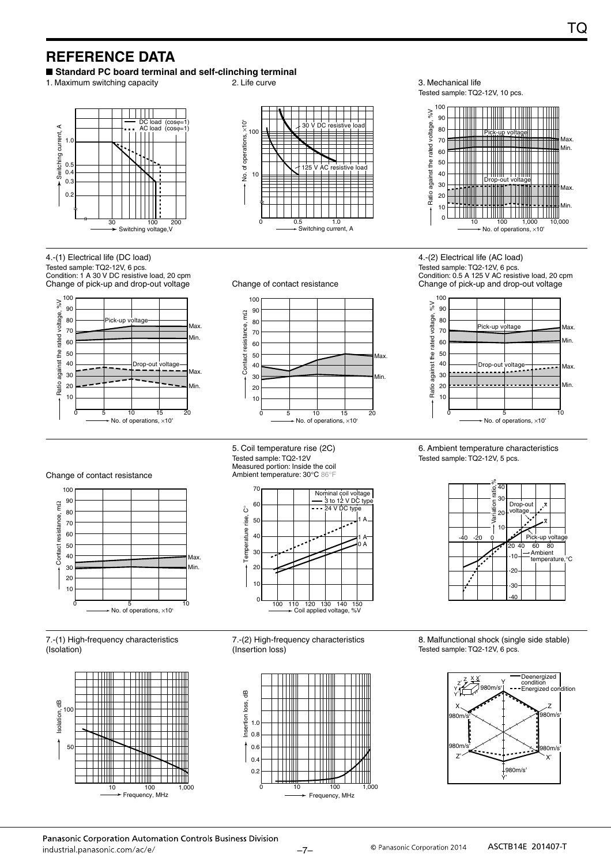# **REFERENCE DATA**

■ Standard PC board terminal and self-clinching terminal

1. Maximum switching capacity **2.** Life curve **3. Mechanical life** 3. Mechanical life





Tested sample: TQ2-12V, 10 pcs. 100  $\frac{8}{2}$ 90 80 Pick-up voltage 70 Tilli



4.-(1) Electrical life (DC load) Tested sample: TQ2-12V, 6 pcs. Condition: 1 A 30 V DC resistive load, 20 cpm







Change of pick-up and drop-out voltage  $\frac{100}{60}$ 90 80

Condition: 0.5 A 125 V AC resistive load, 20 cpm

4.-(2) Electrical life (AC load) Tested sample: TQ2-12V, 6 pcs.



6. Ambient temperature characteristics Tested sample: TQ2-12V, 5 pcs.



- 
- 8. Malfunctional shock (single side stable) Tested sample: TQ2-12V, 6 pcs.



#### Change of contact resistance



#### 7.-(1) High-frequency characteristics (Isolation)



5. Coil temperature rise (2C) Tested sample: TQ2-12V Measured portion: Inside the coil Ambient temperature: 30°C 86°F



7.-(2) High-frequency characteristics (Insertion loss)

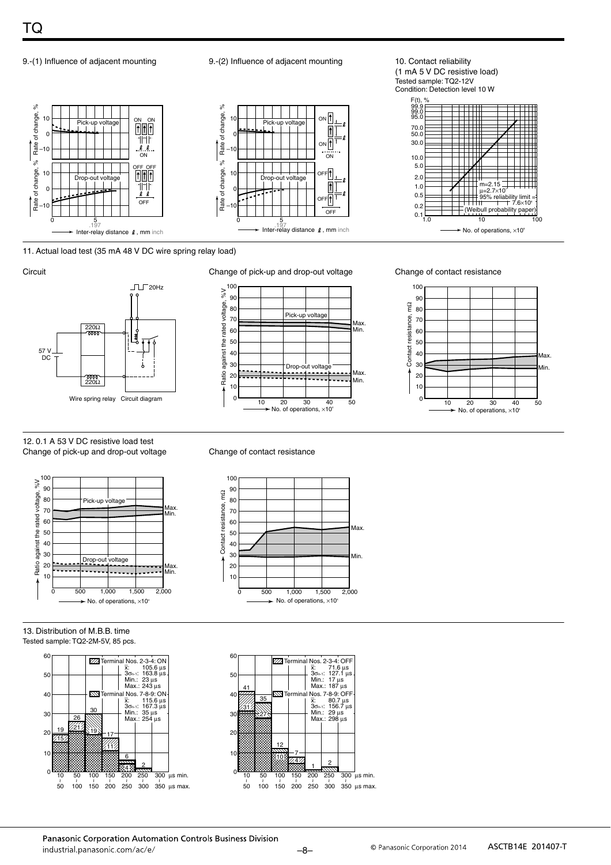

9.-(1) Influence of adjacent mounting 9.-(2) Influence of adjacent mounting 10. Contact reliability



(1 mA 5 V DC resistive load) Tested sample: TQ2-12V Condition: Detection level 10 W F(t), %<br>99.9<br>99.0<br>95.0



11. Actual load test (35 mA 48 V DC wire spring relay load)



#### 12. 0.1 A 53 V DC resistive load test Change of pick-up and drop-out voltage Change of contact resistance



13. Distribution of M.B.B. time Tested sample: TQ2-2M-5V, 85 pcs.





Circuit Change of pick-up and drop-out voltage Change of contact resistance







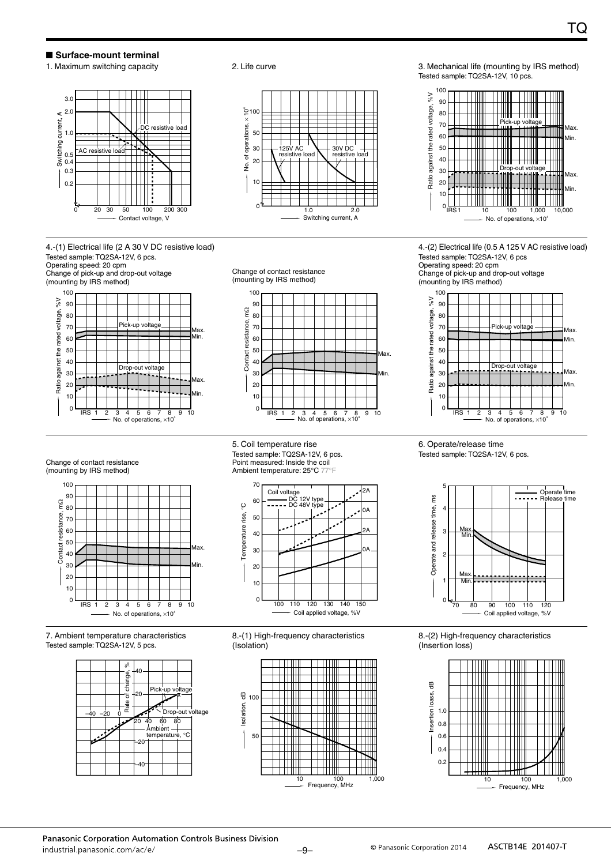#### ■ Surface-mount terminal



4.-(1) Electrical life (2 A 30 V DC resistive load) Tested sample: TQ2SA-12V, 6 pcs. Operating speed: 20 cpm Change of pick-up and drop-out voltage



Change of contact resistance (mounting by IRS method)

125V AC resistive load

No. of operations,  $\times$  10<sup>4</sup>

of operations,

ġ

10

 $\Omega$ 



 $1.0$  2.0

30V DC<br>resistive lo resistive load

Switching current, A

1. Maximum switching capacity **3. Community 1. Maximum switching capacity** 3. Mechanical life (mounting by IRS method) Tested sample: TQ2SA-12V, 10 pcs.



4.-(2) Electrical life (0.5 A 125 V AC resistive load) Tested sample: TQ2SA-12V, 6 pcs Operating speed: 20 cpm Change of pick-up and drop-out voltage



Change of contact resistance (mounting by IRS method)



7. Ambient temperature characteristics Tested sample: TQ2SA-12V, 5 pcs.



5. Coil temperature rise Tested sample: TQ2SA-12V, 6 pcs. Point measured: Inside the coil Ambient temperature: 25°C 77°F



8.-(1) High-frequency characteristics (Isolation)



6. Operate/release time Tested sample: TQ2SA-12V, 6 pcs.



8.-(2) High-frequency characteristics (Insertion loss)



Panasonic Corporation Automation Controls Business Division industrial panasonic com/ac/e/

-9- **C** Panasonic Corporation 2014 **ASCTB14E 201407-T**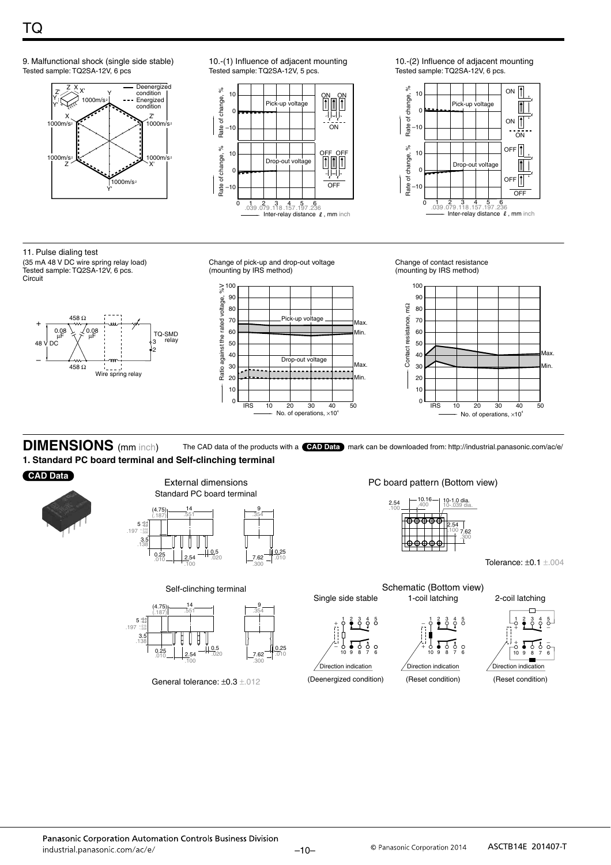



10.-(1) Influence of adjacent mounting Tested sample: TQ2SA-12V, 5 pcs.



10.-(2) Influence of adjacent mounting Tested sample: TQ2SA-12V, 6 pcs.



11. Pulse dialing test (35 mA 48 V DC wire spring relay load) Tested sample: TQ2SA-12V, 6 pcs.

**Circuit** 



.<br>197

Change of pick-up and drop-out voltage (mounting by IRS method)



Change of contact resistance (mounting by IRS method)



**DIMENSIONS** (mm inch) **1. Standard PC board terminal and Self-clinching terminal** The CAD data of the products with a **CAD Data** mark can be downloaded from: http://industrial.panasonic.com/ac/e/

Single side stable

1

 $_+$   $\frac{1}{2}$   $\frac{2}{9}$   $\frac{3}{7}$   $\frac{4}{9}$   $\frac{5}{6}$ 

10 9 8 7 6

(Deenergized condition)

Direction indication −

#### **CAD Data**



External dimensions Standard PC board terminal



Self-clinching terminal



General tolerance:  $\pm 0.3 \pm .012$ 

PC board pattern (Bottom view)



1-coil latching

1

− 0 ≩ 0 0 0

10 9 8 7 6

(Reset condition)

Direction indication

+

Tolerance: ±0.1 ±.004



(Reset condition)